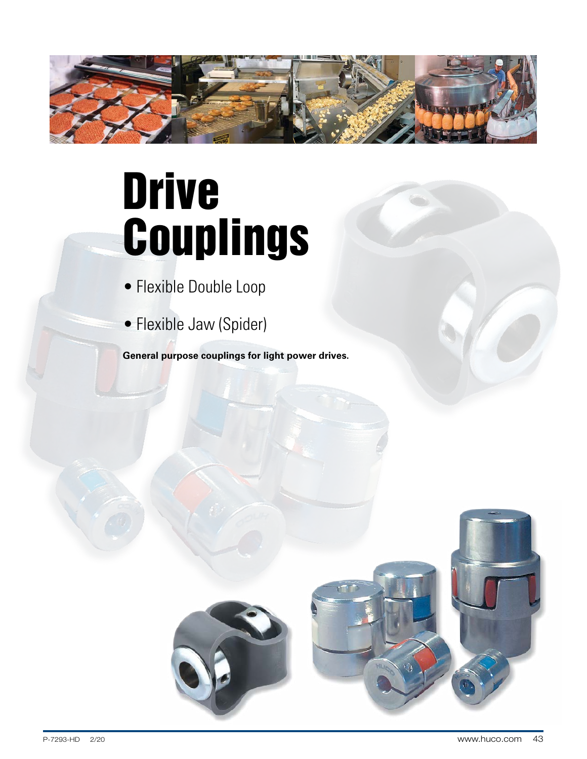

# Drive Couplings

- Flexible Double Loop
- Flexible Jaw (Spider)

**General purpose couplings for light power drives.**